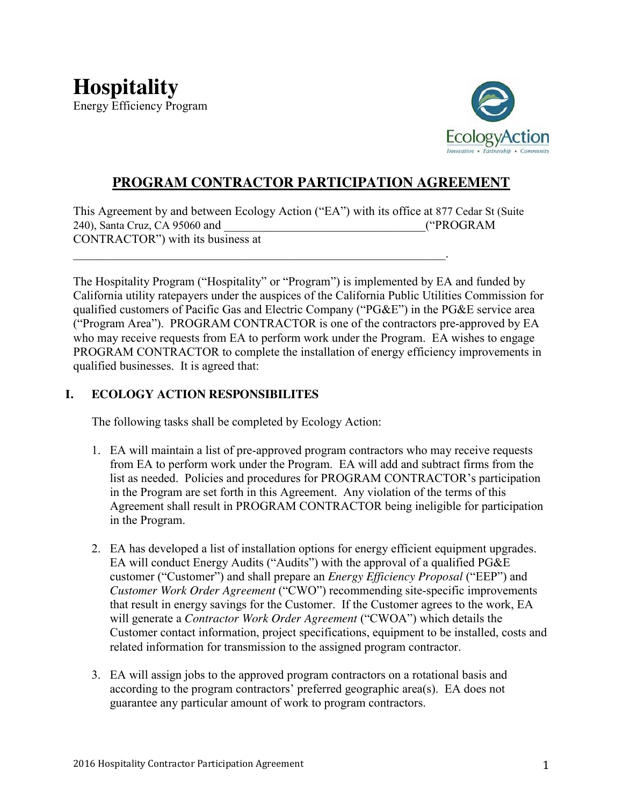

# **PROGRAM CONTRACTOR PARTICIPATION AGREEMENT**

This Agreement by and between Ecology Action ("EA") with its office at 877 Cedar St (Suite 240), Santa Cruz, CA 95060 and <br>
("PROGRAM CONTRACTOR") with its business at

 $\mathcal{L}_\text{max} = \mathcal{L}_\text{max} = \mathcal{L}_\text{max} = \mathcal{L}_\text{max} = \mathcal{L}_\text{max} = \mathcal{L}_\text{max} = \mathcal{L}_\text{max} = \mathcal{L}_\text{max} = \mathcal{L}_\text{max} = \mathcal{L}_\text{max} = \mathcal{L}_\text{max} = \mathcal{L}_\text{max} = \mathcal{L}_\text{max} = \mathcal{L}_\text{max} = \mathcal{L}_\text{max} = \mathcal{L}_\text{max} = \mathcal{L}_\text{max} = \mathcal{L}_\text{max} = \mathcal{$ 

The Hospitality Program ("Hospitality" or "Program") is implemented by EA and funded by California utility ratepayers under the auspices of the California Public Utilities Commission for qualified customers of Pacific Gas and Electric Company ("PG&E") in the PG&E service area ("Program Area"). PROGRAM CONTRACTOR is one of the contractors pre-approved by EA who may receive requests from EA to perform work under the Program. EA wishes to engage PROGRAM CONTRACTOR to complete the installation of energy efficiency improvements in qualified businesses. It is agreed that:

# **I. ECOLOGY ACTION RESPONSIBILITES**

The following tasks shall be completed by Ecology Action:

- 1. EA will maintain a list of pre-approved program contractors who may receive requests from EA to perform work under the Program. EA will add and subtract firms from the list as needed. Policies and procedures for PROGRAM CONTRACTOR's participation in the Program are set forth in this Agreement. Any violation of the terms of this Agreement shall result in PROGRAM CONTRACTOR being ineligible for participation in the Program.
- 2. EA has developed a list of installation options for energy efficient equipment upgrades. EA will conduct Energy Audits ("Audits") with the approval of a qualified PG&E customer ("Customer") and shall prepare an *Energy Efficiency Proposal* ("EEP") and *Customer Work Order Agreement* ("CWO") recommending site-specific improvements that result in energy savings for the Customer. If the Customer agrees to the work, EA will generate a *Contractor Work Order Agreement* ("CWOA") which details the Customer contact information, project specifications, equipment to be installed, costs and related information for transmission to the assigned program contractor.
- 3. EA will assign jobs to the approved program contractors on a rotational basis and according to the program contractors' preferred geographic area(s). EA does not guarantee any particular amount of work to program contractors.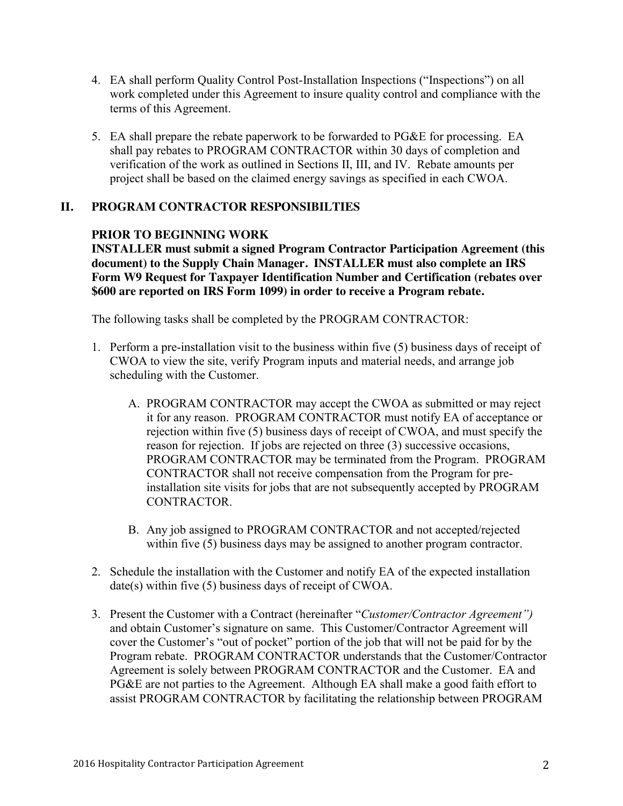- 4. EA shall perform Quality Control Post-Installation Inspections ("Inspections") on all work completed under this Agreement to insure quality control and compliance with the terms of this Agreement.
- 5. EA shall prepare the rebate paperwork to be forwarded to PG&E for processing. EA shall pay rebates to PROGRAM CONTRACTOR within 30 days of completion and verification of the work as outlined in Sections II, III, and IV. Rebate amounts per project shall be based on the claimed energy savings as specified in each CWOA.

### **II. PROGRAM CONTRACTOR RESPONSIBILTIES**

#### **PRIOR TO BEGINNING WORK**

**INSTALLER must submit a signed Program Contractor Participation Agreement (this document) to the Supply Chain Manager. INSTALLER must also complete an IRS Form W9 Request for Taxpayer Identification Number and Certification (rebates over \$600 are reported on IRS Form 1099) in order to receive a Program rebate.** 

The following tasks shall be completed by the PROGRAM CONTRACTOR:

- 1. Perform a pre-installation visit to the business within five (5) business days of receipt of CWOA to view the site, verify Program inputs and material needs, and arrange job scheduling with the Customer.
	- A. PROGRAM CONTRACTOR may accept the CWOA as submitted or may reject it for any reason. PROGRAM CONTRACTOR must notify EA of acceptance or rejection within five (5) business days of receipt of CWOA, and must specify the reason for rejection. If jobs are rejected on three (3) successive occasions, PROGRAM CONTRACTOR may be terminated from the Program. PROGRAM CONTRACTOR shall not receive compensation from the Program for preinstallation site visits for jobs that are not subsequently accepted by PROGRAM CONTRACTOR.
	- B. Any job assigned to PROGRAM CONTRACTOR and not accepted/rejected within five (5) business days may be assigned to another program contractor.
- 2. Schedule the installation with the Customer and notify EA of the expected installation date(s) within five (5) business days of receipt of CWOA.
- 3. Present the Customer with a Contract (hereinafter "*Customer/Contractor Agreement")*  and obtain Customer's signature on same. This Customer/Contractor Agreement will cover the Customer's "out of pocket" portion of the job that will not be paid for by the Program rebate. PROGRAM CONTRACTOR understands that the Customer/Contractor Agreement is solely between PROGRAM CONTRACTOR and the Customer. EA and PG&E are not parties to the Agreement. Although EA shall make a good faith effort to assist PROGRAM CONTRACTOR by facilitating the relationship between PROGRAM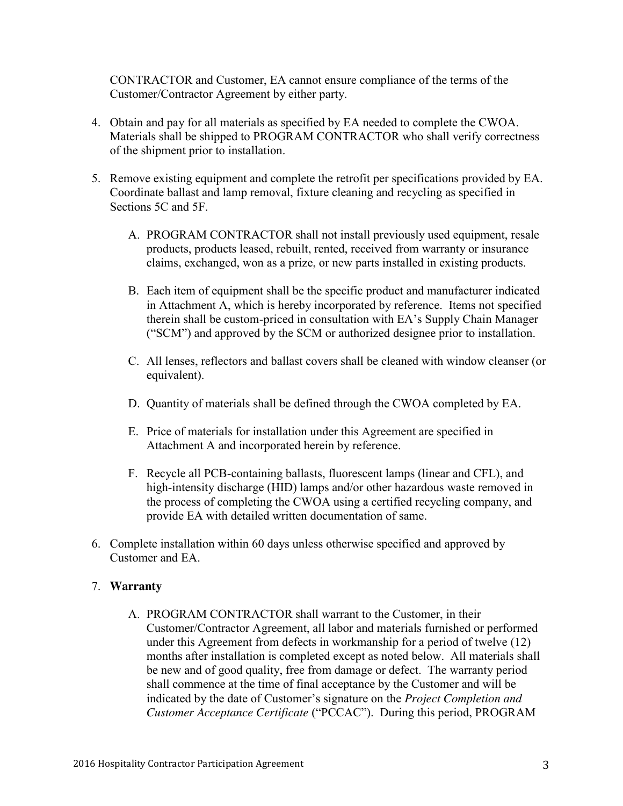CONTRACTOR and Customer, EA cannot ensure compliance of the terms of the Customer/Contractor Agreement by either party.

- 4. Obtain and pay for all materials as specified by EA needed to complete the CWOA. Materials shall be shipped to PROGRAM CONTRACTOR who shall verify correctness of the shipment prior to installation.
- 5. Remove existing equipment and complete the retrofit per specifications provided by EA. Coordinate ballast and lamp removal, fixture cleaning and recycling as specified in Sections 5C and 5F.
	- A. PROGRAM CONTRACTOR shall not install previously used equipment, resale products, products leased, rebuilt, rented, received from warranty or insurance claims, exchanged, won as a prize, or new parts installed in existing products.
	- B. Each item of equipment shall be the specific product and manufacturer indicated in Attachment A, which is hereby incorporated by reference. Items not specified therein shall be custom-priced in consultation with EA's Supply Chain Manager ("SCM") and approved by the SCM or authorized designee prior to installation.
	- C. All lenses, reflectors and ballast covers shall be cleaned with window cleanser (or equivalent).
	- D. Quantity of materials shall be defined through the CWOA completed by EA.
	- E. Price of materials for installation under this Agreement are specified in Attachment A and incorporated herein by reference.
	- F. Recycle all PCB-containing ballasts, fluorescent lamps (linear and CFL), and high-intensity discharge (HID) lamps and/or other hazardous waste removed in the process of completing the CWOA using a certified recycling company, and provide EA with detailed written documentation of same.
- 6. Complete installation within 60 days unless otherwise specified and approved by Customer and EA.

### 7. **Warranty**

A. PROGRAM CONTRACTOR shall warrant to the Customer, in their Customer/Contractor Agreement, all labor and materials furnished or performed under this Agreement from defects in workmanship for a period of twelve (12) months after installation is completed except as noted below. All materials shall be new and of good quality, free from damage or defect. The warranty period shall commence at the time of final acceptance by the Customer and will be indicated by the date of Customer's signature on the *Project Completion and Customer Acceptance Certificate* ("PCCAC"). During this period, PROGRAM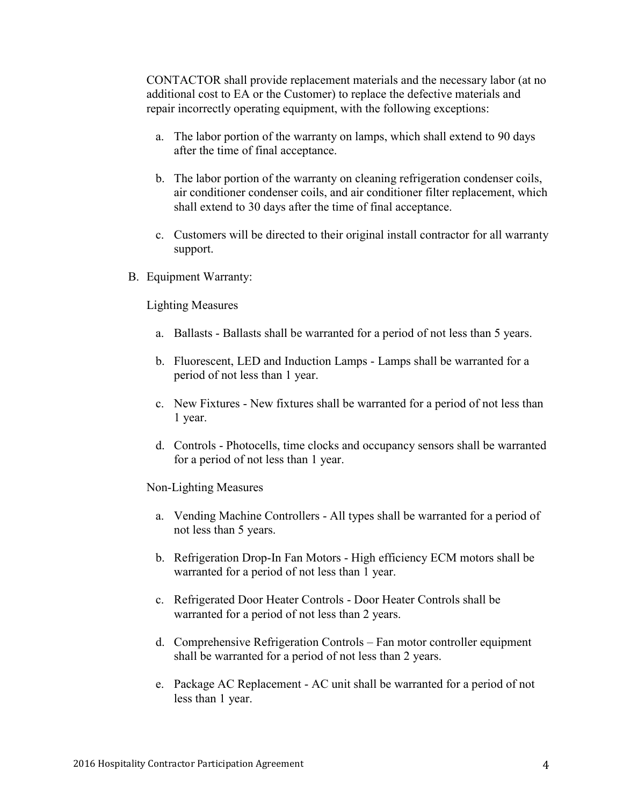CONTACTOR shall provide replacement materials and the necessary labor (at no additional cost to EA or the Customer) to replace the defective materials and repair incorrectly operating equipment, with the following exceptions:

- a. The labor portion of the warranty on lamps, which shall extend to 90 days after the time of final acceptance.
- b. The labor portion of the warranty on cleaning refrigeration condenser coils, air conditioner condenser coils, and air conditioner filter replacement, which shall extend to 30 days after the time of final acceptance.
- c. Customers will be directed to their original install contractor for all warranty support.
- B. Equipment Warranty:

#### Lighting Measures

- a. Ballasts Ballasts shall be warranted for a period of not less than 5 years.
- b. Fluorescent, LED and Induction Lamps Lamps shall be warranted for a period of not less than 1 year.
- c. New Fixtures New fixtures shall be warranted for a period of not less than 1 year.
- d. Controls Photocells, time clocks and occupancy sensors shall be warranted for a period of not less than 1 year.

#### Non-Lighting Measures

- a. Vending Machine Controllers All types shall be warranted for a period of not less than 5 years.
- b. Refrigeration Drop-In Fan Motors High efficiency ECM motors shall be warranted for a period of not less than 1 year.
- c. Refrigerated Door Heater Controls Door Heater Controls shall be warranted for a period of not less than 2 years.
- d. Comprehensive Refrigeration Controls Fan motor controller equipment shall be warranted for a period of not less than 2 years.
- e. Package AC Replacement AC unit shall be warranted for a period of not less than 1 year.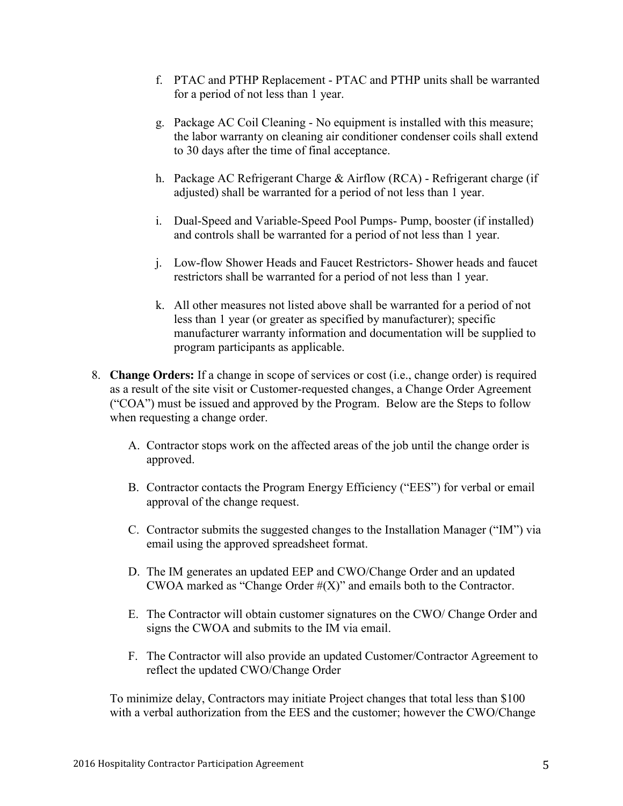- f. PTAC and PTHP Replacement PTAC and PTHP units shall be warranted for a period of not less than 1 year.
- g. Package AC Coil Cleaning No equipment is installed with this measure; the labor warranty on cleaning air conditioner condenser coils shall extend to 30 days after the time of final acceptance.
- h. Package AC Refrigerant Charge & Airflow (RCA) Refrigerant charge (if adjusted) shall be warranted for a period of not less than 1 year.
- i. Dual-Speed and Variable-Speed Pool Pumps- Pump, booster (if installed) and controls shall be warranted for a period of not less than 1 year.
- j. Low-flow Shower Heads and Faucet Restrictors- Shower heads and faucet restrictors shall be warranted for a period of not less than 1 year.
- k. All other measures not listed above shall be warranted for a period of not less than 1 year (or greater as specified by manufacturer); specific manufacturer warranty information and documentation will be supplied to program participants as applicable.
- 8. **Change Orders:** If a change in scope of services or cost (i.e., change order) is required as a result of the site visit or Customer-requested changes, a Change Order Agreement ("COA") must be issued and approved by the Program. Below are the Steps to follow when requesting a change order.
	- A. Contractor stops work on the affected areas of the job until the change order is approved.
	- B. Contractor contacts the Program Energy Efficiency ("EES") for verbal or email approval of the change request.
	- C. Contractor submits the suggested changes to the Installation Manager ("IM") via email using the approved spreadsheet format.
	- D. The IM generates an updated EEP and CWO/Change Order and an updated CWOA marked as "Change Order  $#(X)$ " and emails both to the Contractor.
	- E. The Contractor will obtain customer signatures on the CWO/ Change Order and signs the CWOA and submits to the IM via email.
	- F. The Contractor will also provide an updated Customer/Contractor Agreement to reflect the updated CWO/Change Order

To minimize delay, Contractors may initiate Project changes that total less than \$100 with a verbal authorization from the EES and the customer; however the CWO/Change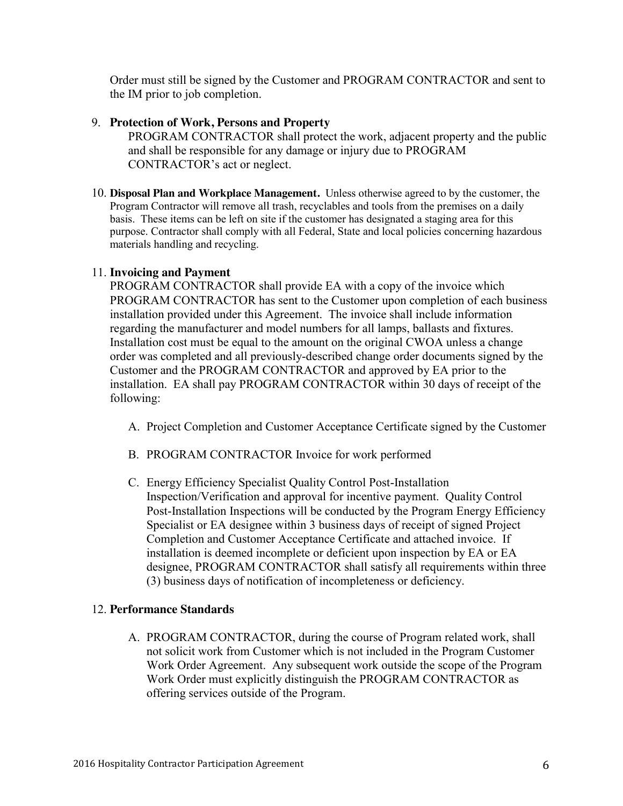Order must still be signed by the Customer and PROGRAM CONTRACTOR and sent to the IM prior to job completion.

#### 9. **Protection of Work, Persons and Property**

PROGRAM CONTRACTOR shall protect the work, adjacent property and the public and shall be responsible for any damage or injury due to PROGRAM CONTRACTOR's act or neglect.

10. **Disposal Plan and Workplace Management.** Unless otherwise agreed to by the customer, the Program Contractor will remove all trash, recyclables and tools from the premises on a daily basis. These items can be left on site if the customer has designated a staging area for this purpose. Contractor shall comply with all Federal, State and local policies concerning hazardous materials handling and recycling.

### 11. **Invoicing and Payment**

PROGRAM CONTRACTOR shall provide EA with a copy of the invoice which PROGRAM CONTRACTOR has sent to the Customer upon completion of each business installation provided under this Agreement. The invoice shall include information regarding the manufacturer and model numbers for all lamps, ballasts and fixtures. Installation cost must be equal to the amount on the original CWOA unless a change order was completed and all previously-described change order documents signed by the Customer and the PROGRAM CONTRACTOR and approved by EA prior to the installation. EA shall pay PROGRAM CONTRACTOR within 30 days of receipt of the following:

- A. Project Completion and Customer Acceptance Certificate signed by the Customer
- B. PROGRAM CONTRACTOR Invoice for work performed
- C. Energy Efficiency Specialist Quality Control Post-Installation Inspection/Verification and approval for incentive payment. Quality Control Post-Installation Inspections will be conducted by the Program Energy Efficiency Specialist or EA designee within 3 business days of receipt of signed Project Completion and Customer Acceptance Certificate and attached invoice. If installation is deemed incomplete or deficient upon inspection by EA or EA designee, PROGRAM CONTRACTOR shall satisfy all requirements within three (3) business days of notification of incompleteness or deficiency.

#### 12. **Performance Standards**

A. PROGRAM CONTRACTOR, during the course of Program related work, shall not solicit work from Customer which is not included in the Program Customer Work Order Agreement. Any subsequent work outside the scope of the Program Work Order must explicitly distinguish the PROGRAM CONTRACTOR as offering services outside of the Program.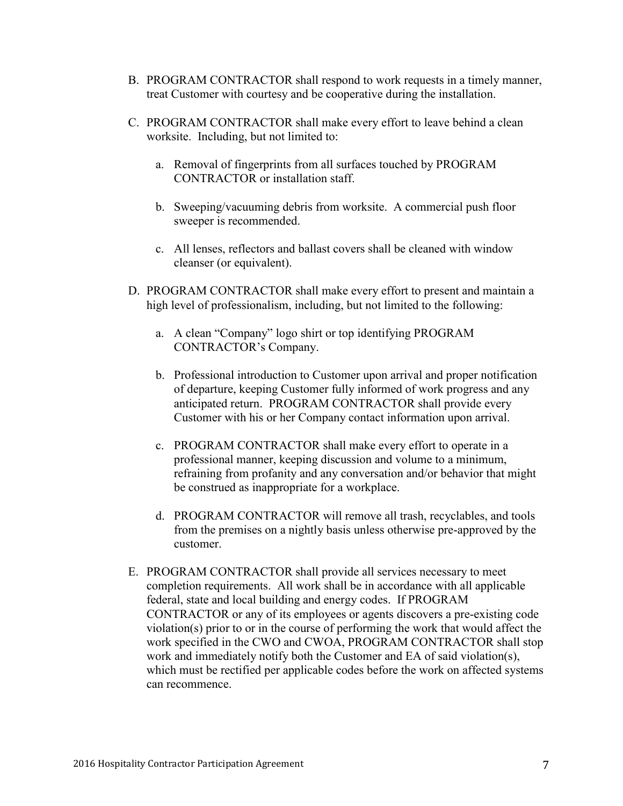- B. PROGRAM CONTRACTOR shall respond to work requests in a timely manner, treat Customer with courtesy and be cooperative during the installation.
- C. PROGRAM CONTRACTOR shall make every effort to leave behind a clean worksite. Including, but not limited to:
	- a. Removal of fingerprints from all surfaces touched by PROGRAM CONTRACTOR or installation staff.
	- b. Sweeping/vacuuming debris from worksite. A commercial push floor sweeper is recommended.
	- c. All lenses, reflectors and ballast covers shall be cleaned with window cleanser (or equivalent).
- D. PROGRAM CONTRACTOR shall make every effort to present and maintain a high level of professionalism, including, but not limited to the following:
	- a. A clean "Company" logo shirt or top identifying PROGRAM CONTRACTOR's Company.
	- b. Professional introduction to Customer upon arrival and proper notification of departure, keeping Customer fully informed of work progress and any anticipated return. PROGRAM CONTRACTOR shall provide every Customer with his or her Company contact information upon arrival.
	- c. PROGRAM CONTRACTOR shall make every effort to operate in a professional manner, keeping discussion and volume to a minimum, refraining from profanity and any conversation and/or behavior that might be construed as inappropriate for a workplace.
	- d. PROGRAM CONTRACTOR will remove all trash, recyclables, and tools from the premises on a nightly basis unless otherwise pre-approved by the customer.
- E. PROGRAM CONTRACTOR shall provide all services necessary to meet completion requirements. All work shall be in accordance with all applicable federal, state and local building and energy codes. If PROGRAM CONTRACTOR or any of its employees or agents discovers a pre-existing code violation(s) prior to or in the course of performing the work that would affect the work specified in the CWO and CWOA, PROGRAM CONTRACTOR shall stop work and immediately notify both the Customer and EA of said violation(s), which must be rectified per applicable codes before the work on affected systems can recommence.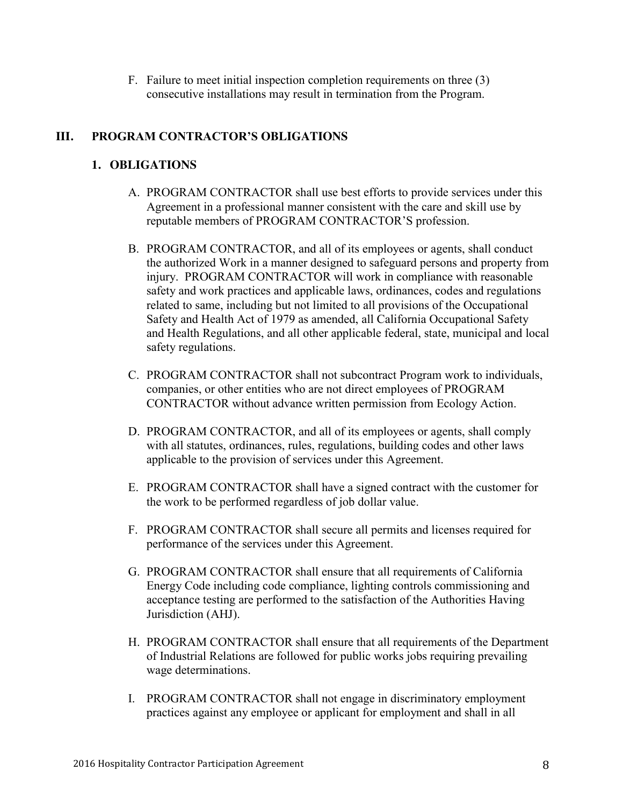F. Failure to meet initial inspection completion requirements on three (3) consecutive installations may result in termination from the Program.

# **III. PROGRAM CONTRACTOR'S OBLIGATIONS**

### **1. OBLIGATIONS**

- A. PROGRAM CONTRACTOR shall use best efforts to provide services under this Agreement in a professional manner consistent with the care and skill use by reputable members of PROGRAM CONTRACTOR'S profession.
- B. PROGRAM CONTRACTOR, and all of its employees or agents, shall conduct the authorized Work in a manner designed to safeguard persons and property from injury. PROGRAM CONTRACTOR will work in compliance with reasonable safety and work practices and applicable laws, ordinances, codes and regulations related to same, including but not limited to all provisions of the Occupational Safety and Health Act of 1979 as amended, all California Occupational Safety and Health Regulations, and all other applicable federal, state, municipal and local safety regulations.
- C. PROGRAM CONTRACTOR shall not subcontract Program work to individuals, companies, or other entities who are not direct employees of PROGRAM CONTRACTOR without advance written permission from Ecology Action.
- D. PROGRAM CONTRACTOR, and all of its employees or agents, shall comply with all statutes, ordinances, rules, regulations, building codes and other laws applicable to the provision of services under this Agreement.
- E. PROGRAM CONTRACTOR shall have a signed contract with the customer for the work to be performed regardless of job dollar value.
- F. PROGRAM CONTRACTOR shall secure all permits and licenses required for performance of the services under this Agreement.
- G. PROGRAM CONTRACTOR shall ensure that all requirements of California Energy Code including code compliance, lighting controls commissioning and acceptance testing are performed to the satisfaction of the Authorities Having Jurisdiction (AHJ).
- H. PROGRAM CONTRACTOR shall ensure that all requirements of the Department of Industrial Relations are followed for public works jobs requiring prevailing wage determinations.
- I. PROGRAM CONTRACTOR shall not engage in discriminatory employment practices against any employee or applicant for employment and shall in all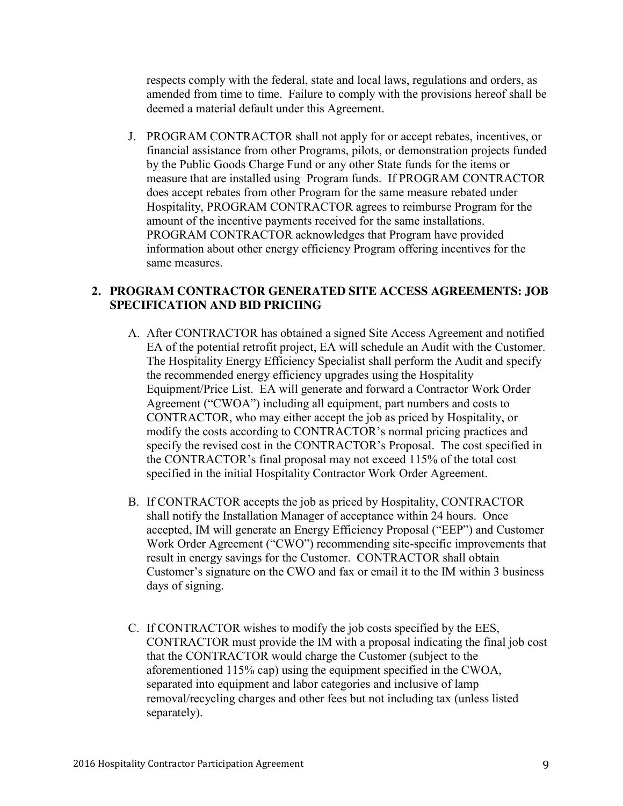respects comply with the federal, state and local laws, regulations and orders, as amended from time to time. Failure to comply with the provisions hereof shall be deemed a material default under this Agreement.

J. PROGRAM CONTRACTOR shall not apply for or accept rebates, incentives, or financial assistance from other Programs, pilots, or demonstration projects funded by the Public Goods Charge Fund or any other State funds for the items or measure that are installed using Program funds. If PROGRAM CONTRACTOR does accept rebates from other Program for the same measure rebated under Hospitality, PROGRAM CONTRACTOR agrees to reimburse Program for the amount of the incentive payments received for the same installations. PROGRAM CONTRACTOR acknowledges that Program have provided information about other energy efficiency Program offering incentives for the same measures.

#### **2. PROGRAM CONTRACTOR GENERATED SITE ACCESS AGREEMENTS: JOB SPECIFICATION AND BID PRICIING**

- A. After CONTRACTOR has obtained a signed Site Access Agreement and notified EA of the potential retrofit project, EA will schedule an Audit with the Customer. The Hospitality Energy Efficiency Specialist shall perform the Audit and specify the recommended energy efficiency upgrades using the Hospitality Equipment/Price List. EA will generate and forward a Contractor Work Order Agreement ("CWOA") including all equipment, part numbers and costs to CONTRACTOR, who may either accept the job as priced by Hospitality, or modify the costs according to CONTRACTOR's normal pricing practices and specify the revised cost in the CONTRACTOR's Proposal. The cost specified in the CONTRACTOR's final proposal may not exceed 115% of the total cost specified in the initial Hospitality Contractor Work Order Agreement.
- B. If CONTRACTOR accepts the job as priced by Hospitality, CONTRACTOR shall notify the Installation Manager of acceptance within 24 hours. Once accepted, IM will generate an Energy Efficiency Proposal ("EEP") and Customer Work Order Agreement ("CWO") recommending site-specific improvements that result in energy savings for the Customer. CONTRACTOR shall obtain Customer's signature on the CWO and fax or email it to the IM within 3 business days of signing.
- C. If CONTRACTOR wishes to modify the job costs specified by the EES, CONTRACTOR must provide the IM with a proposal indicating the final job cost that the CONTRACTOR would charge the Customer (subject to the aforementioned 115% cap) using the equipment specified in the CWOA, separated into equipment and labor categories and inclusive of lamp removal/recycling charges and other fees but not including tax (unless listed separately).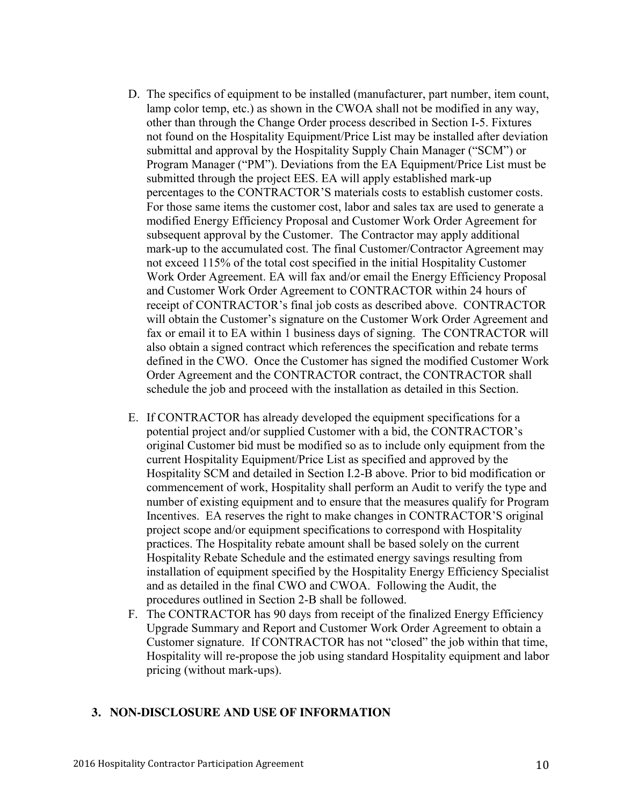- D. The specifics of equipment to be installed (manufacturer, part number, item count, lamp color temp, etc.) as shown in the CWOA shall not be modified in any way, other than through the Change Order process described in Section I-5. Fixtures not found on the Hospitality Equipment/Price List may be installed after deviation submittal and approval by the Hospitality Supply Chain Manager ("SCM") or Program Manager ("PM"). Deviations from the EA Equipment/Price List must be submitted through the project EES. EA will apply established mark-up percentages to the CONTRACTOR'S materials costs to establish customer costs. For those same items the customer cost, labor and sales tax are used to generate a modified Energy Efficiency Proposal and Customer Work Order Agreement for subsequent approval by the Customer. The Contractor may apply additional mark-up to the accumulated cost. The final Customer/Contractor Agreement may not exceed 115% of the total cost specified in the initial Hospitality Customer Work Order Agreement. EA will fax and/or email the Energy Efficiency Proposal and Customer Work Order Agreement to CONTRACTOR within 24 hours of receipt of CONTRACTOR's final job costs as described above. CONTRACTOR will obtain the Customer's signature on the Customer Work Order Agreement and fax or email it to EA within 1 business days of signing. The CONTRACTOR will also obtain a signed contract which references the specification and rebate terms defined in the CWO. Once the Customer has signed the modified Customer Work Order Agreement and the CONTRACTOR contract, the CONTRACTOR shall schedule the job and proceed with the installation as detailed in this Section.
- E. If CONTRACTOR has already developed the equipment specifications for a potential project and/or supplied Customer with a bid, the CONTRACTOR's original Customer bid must be modified so as to include only equipment from the current Hospitality Equipment/Price List as specified and approved by the Hospitality SCM and detailed in Section I.2-B above. Prior to bid modification or commencement of work, Hospitality shall perform an Audit to verify the type and number of existing equipment and to ensure that the measures qualify for Program Incentives. EA reserves the right to make changes in CONTRACTOR'S original project scope and/or equipment specifications to correspond with Hospitality practices. The Hospitality rebate amount shall be based solely on the current Hospitality Rebate Schedule and the estimated energy savings resulting from installation of equipment specified by the Hospitality Energy Efficiency Specialist and as detailed in the final CWO and CWOA. Following the Audit, the procedures outlined in Section 2-B shall be followed.
- F. The CONTRACTOR has 90 days from receipt of the finalized Energy Efficiency Upgrade Summary and Report and Customer Work Order Agreement to obtain a Customer signature. If CONTRACTOR has not "closed" the job within that time, Hospitality will re-propose the job using standard Hospitality equipment and labor pricing (without mark-ups).

#### **3. NON-DISCLOSURE AND USE OF INFORMATION**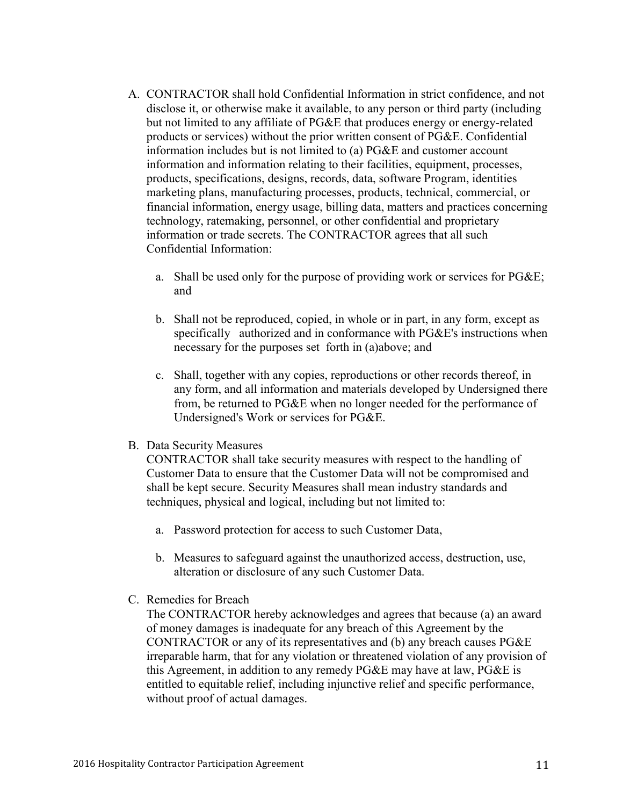- A. CONTRACTOR shall hold Confidential Information in strict confidence, and not disclose it, or otherwise make it available, to any person or third party (including but not limited to any affiliate of PG&E that produces energy or energy-related products or services) without the prior written consent of PG&E. Confidential information includes but is not limited to (a) PG&E and customer account information and information relating to their facilities, equipment, processes, products, specifications, designs, records, data, software Program, identities marketing plans, manufacturing processes, products, technical, commercial, or financial information, energy usage, billing data, matters and practices concerning technology, ratemaking, personnel, or other confidential and proprietary information or trade secrets. The CONTRACTOR agrees that all such Confidential Information:
	- a. Shall be used only for the purpose of providing work or services for PG&E; and
	- b. Shall not be reproduced, copied, in whole or in part, in any form, except as specifically authorized and in conformance with PG&E's instructions when necessary for the purposes set forth in (a)above; and
	- c. Shall, together with any copies, reproductions or other records thereof, in any form, and all information and materials developed by Undersigned there from, be returned to PG&E when no longer needed for the performance of Undersigned's Work or services for PG&E.
- B. Data Security Measures

CONTRACTOR shall take security measures with respect to the handling of Customer Data to ensure that the Customer Data will not be compromised and shall be kept secure. Security Measures shall mean industry standards and techniques, physical and logical, including but not limited to:

- a. Password protection for access to such Customer Data,
- b. Measures to safeguard against the unauthorized access, destruction, use, alteration or disclosure of any such Customer Data.
- C. Remedies for Breach

The CONTRACTOR hereby acknowledges and agrees that because (a) an award of money damages is inadequate for any breach of this Agreement by the CONTRACTOR or any of its representatives and (b) any breach causes PG&E irreparable harm, that for any violation or threatened violation of any provision of this Agreement, in addition to any remedy PG&E may have at law, PG&E is entitled to equitable relief, including injunctive relief and specific performance, without proof of actual damages.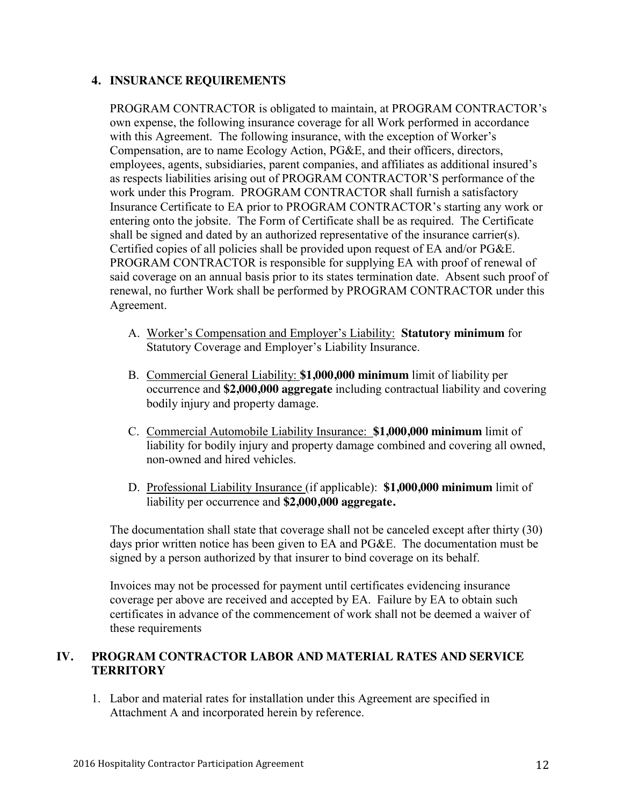#### **4. INSURANCE REQUIREMENTS**

PROGRAM CONTRACTOR is obligated to maintain, at PROGRAM CONTRACTOR's own expense, the following insurance coverage for all Work performed in accordance with this Agreement. The following insurance, with the exception of Worker's Compensation, are to name Ecology Action, PG&E, and their officers, directors, employees, agents, subsidiaries, parent companies, and affiliates as additional insured's as respects liabilities arising out of PROGRAM CONTRACTOR'S performance of the work under this Program. PROGRAM CONTRACTOR shall furnish a satisfactory Insurance Certificate to EA prior to PROGRAM CONTRACTOR's starting any work or entering onto the jobsite. The Form of Certificate shall be as required. The Certificate shall be signed and dated by an authorized representative of the insurance carrier(s). Certified copies of all policies shall be provided upon request of EA and/or PG&E. PROGRAM CONTRACTOR is responsible for supplying EA with proof of renewal of said coverage on an annual basis prior to its states termination date. Absent such proof of renewal, no further Work shall be performed by PROGRAM CONTRACTOR under this Agreement.

- A. Worker's Compensation and Employer's Liability: **Statutory minimum** for Statutory Coverage and Employer's Liability Insurance.
- B. Commercial General Liability: **\$1,000,000 minimum** limit of liability per occurrence and **\$2,000,000 aggregate** including contractual liability and covering bodily injury and property damage.
- C. Commercial Automobile Liability Insurance: **\$1,000,000 minimum** limit of liability for bodily injury and property damage combined and covering all owned, non-owned and hired vehicles.
- D. Professional Liability Insurance (if applicable): **\$1,000,000 minimum** limit of liability per occurrence and **\$2,000,000 aggregate.**

The documentation shall state that coverage shall not be canceled except after thirty (30) days prior written notice has been given to EA and PG&E. The documentation must be signed by a person authorized by that insurer to bind coverage on its behalf.

Invoices may not be processed for payment until certificates evidencing insurance coverage per above are received and accepted by EA. Failure by EA to obtain such certificates in advance of the commencement of work shall not be deemed a waiver of these requirements

# **IV. PROGRAM CONTRACTOR LABOR AND MATERIAL RATES AND SERVICE TERRITORY**

1. Labor and material rates for installation under this Agreement are specified in Attachment A and incorporated herein by reference.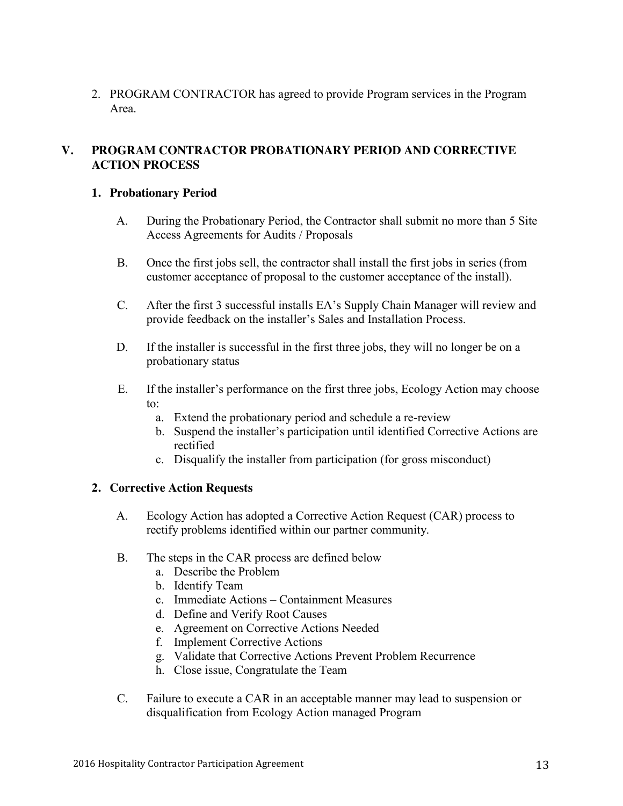2. PROGRAM CONTRACTOR has agreed to provide Program services in the Program Area.

### **V. PROGRAM CONTRACTOR PROBATIONARY PERIOD AND CORRECTIVE ACTION PROCESS**

#### **1. Probationary Period**

- A. During the Probationary Period, the Contractor shall submit no more than 5 Site Access Agreements for Audits / Proposals
- B. Once the first jobs sell, the contractor shall install the first jobs in series (from customer acceptance of proposal to the customer acceptance of the install).
- C. After the first 3 successful installs EA's Supply Chain Manager will review and provide feedback on the installer's Sales and Installation Process.
- D. If the installer is successful in the first three jobs, they will no longer be on a probationary status
- E. If the installer's performance on the first three jobs, Ecology Action may choose to:
	- a. Extend the probationary period and schedule a re-review
	- b. Suspend the installer's participation until identified Corrective Actions are rectified
	- c. Disqualify the installer from participation (for gross misconduct)

### **2. Corrective Action Requests**

- A. Ecology Action has adopted a Corrective Action Request (CAR) process to rectify problems identified within our partner community.
- B. The steps in the CAR process are defined below
	- a. Describe the Problem
	- b. Identify Team
	- c. Immediate Actions Containment Measures
	- d. Define and Verify Root Causes
	- e. Agreement on Corrective Actions Needed
	- f. Implement Corrective Actions
	- g. Validate that Corrective Actions Prevent Problem Recurrence
	- h. Close issue, Congratulate the Team
- C. Failure to execute a CAR in an acceptable manner may lead to suspension or disqualification from Ecology Action managed Program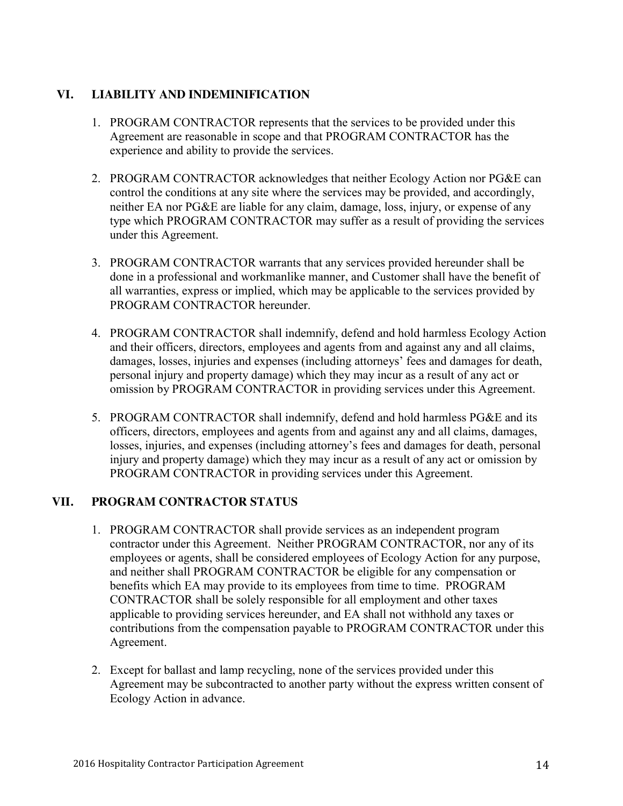# **VI. LIABILITY AND INDEMINIFICATION**

- 1. PROGRAM CONTRACTOR represents that the services to be provided under this Agreement are reasonable in scope and that PROGRAM CONTRACTOR has the experience and ability to provide the services.
- 2. PROGRAM CONTRACTOR acknowledges that neither Ecology Action nor PG&E can control the conditions at any site where the services may be provided, and accordingly, neither EA nor PG&E are liable for any claim, damage, loss, injury, or expense of any type which PROGRAM CONTRACTOR may suffer as a result of providing the services under this Agreement.
- 3. PROGRAM CONTRACTOR warrants that any services provided hereunder shall be done in a professional and workmanlike manner, and Customer shall have the benefit of all warranties, express or implied, which may be applicable to the services provided by PROGRAM CONTRACTOR hereunder.
- 4. PROGRAM CONTRACTOR shall indemnify, defend and hold harmless Ecology Action and their officers, directors, employees and agents from and against any and all claims, damages, losses, injuries and expenses (including attorneys' fees and damages for death, personal injury and property damage) which they may incur as a result of any act or omission by PROGRAM CONTRACTOR in providing services under this Agreement.
- 5. PROGRAM CONTRACTOR shall indemnify, defend and hold harmless PG&E and its officers, directors, employees and agents from and against any and all claims, damages, losses, injuries, and expenses (including attorney's fees and damages for death, personal injury and property damage) which they may incur as a result of any act or omission by PROGRAM CONTRACTOR in providing services under this Agreement.

### **VII. PROGRAM CONTRACTOR STATUS**

- 1. PROGRAM CONTRACTOR shall provide services as an independent program contractor under this Agreement. Neither PROGRAM CONTRACTOR, nor any of its employees or agents, shall be considered employees of Ecology Action for any purpose, and neither shall PROGRAM CONTRACTOR be eligible for any compensation or benefits which EA may provide to its employees from time to time. PROGRAM CONTRACTOR shall be solely responsible for all employment and other taxes applicable to providing services hereunder, and EA shall not withhold any taxes or contributions from the compensation payable to PROGRAM CONTRACTOR under this Agreement.
- 2. Except for ballast and lamp recycling, none of the services provided under this Agreement may be subcontracted to another party without the express written consent of Ecology Action in advance.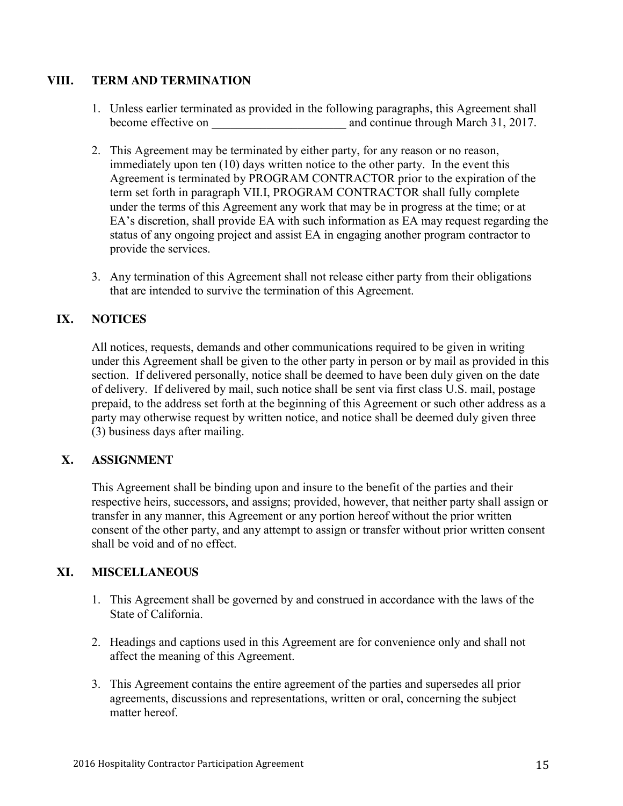### **VIII. TERM AND TERMINATION**

- 1. Unless earlier terminated as provided in the following paragraphs, this Agreement shall become effective on  $\qquad \qquad \text{and continue through March 31, 2017.}$
- 2. This Agreement may be terminated by either party, for any reason or no reason, immediately upon ten (10) days written notice to the other party. In the event this Agreement is terminated by PROGRAM CONTRACTOR prior to the expiration of the term set forth in paragraph VII.I, PROGRAM CONTRACTOR shall fully complete under the terms of this Agreement any work that may be in progress at the time; or at EA's discretion, shall provide EA with such information as EA may request regarding the status of any ongoing project and assist EA in engaging another program contractor to provide the services.
- 3. Any termination of this Agreement shall not release either party from their obligations that are intended to survive the termination of this Agreement.

### **IX. NOTICES**

All notices, requests, demands and other communications required to be given in writing under this Agreement shall be given to the other party in person or by mail as provided in this section. If delivered personally, notice shall be deemed to have been duly given on the date of delivery. If delivered by mail, such notice shall be sent via first class U.S. mail, postage prepaid, to the address set forth at the beginning of this Agreement or such other address as a party may otherwise request by written notice, and notice shall be deemed duly given three (3) business days after mailing.

### **X. ASSIGNMENT**

This Agreement shall be binding upon and insure to the benefit of the parties and their respective heirs, successors, and assigns; provided, however, that neither party shall assign or transfer in any manner, this Agreement or any portion hereof without the prior written consent of the other party, and any attempt to assign or transfer without prior written consent shall be void and of no effect.

### **XI. MISCELLANEOUS**

- 1. This Agreement shall be governed by and construed in accordance with the laws of the State of California.
- 2. Headings and captions used in this Agreement are for convenience only and shall not affect the meaning of this Agreement.
- 3. This Agreement contains the entire agreement of the parties and supersedes all prior agreements, discussions and representations, written or oral, concerning the subject matter hereof.